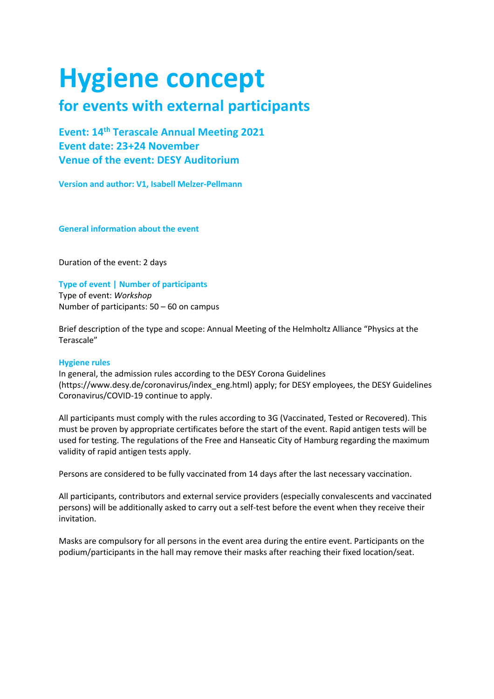# **Hygiene concept**

## **for events with external participants**

**Event: 14th Terascale Annual Meeting 2021 Event date: 23+24 November Venue of the event: DESY Auditorium**

**Version and author: V1, Isabell Melzer-Pellmann**

**General information about the event**

Duration of the event: 2 days

### **Type of event | Number of participants**

Type of event: *Workshop* Number of participants: 50 – 60 on campus

Brief description of the type and scope: Annual Meeting of the Helmholtz Alliance "Physics at the Terascale"

#### **Hygiene rules**

In general, the admission rules according to the DESY Corona Guidelines (https://www.desy.de/coronavirus/index\_eng.html) apply; for DESY employees, the DESY Guidelines Coronavirus/COVID-19 continue to apply.

All participants must comply with the rules according to 3G (Vaccinated, Tested or Recovered). This must be proven by appropriate certificates before the start of the event. Rapid antigen tests will be used for testing. The regulations of the Free and Hanseatic City of Hamburg regarding the maximum validity of rapid antigen tests apply.

Persons are considered to be fully vaccinated from 14 days after the last necessary vaccination.

All participants, contributors and external service providers (especially convalescents and vaccinated persons) will be additionally asked to carry out a self-test before the event when they receive their invitation.

Masks are compulsory for all persons in the event area during the entire event. Participants on the podium/participants in the hall may remove their masks after reaching their fixed location/seat.